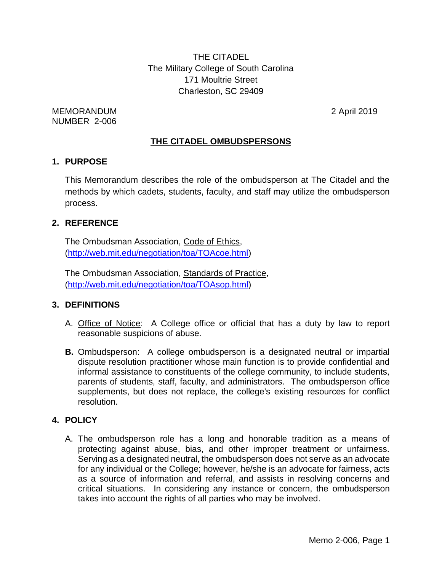THE CITADEL The Military College of South Carolina 171 Moultrie Street Charleston, SC 29409

MEMORANDUM 2 April 2019 NUMBER 2-006

### **THE CITADEL OMBUDSPERSONS**

#### **1. PURPOSE**

This Memorandum describes the role of the ombudsperson at The Citadel and the methods by which cadets, students, faculty, and staff may utilize the ombudsperson process.

#### **2. REFERENCE**

The Ombudsman Association, Code of Ethics, [\(http://web.mit.edu/negotiation/toa/TOAcoe.html\)](http://web.mit.edu/negotiation/toa/TOAcoe.html)

The Ombudsman Association, Standards of Practice, [\(http://web.mit.edu/negotiation/toa/TOAsop.html\)](http://web.mit.edu/negotiation/toa/TOAsop.html)

### **3. DEFINITIONS**

- A. Office of Notice: A College office or official that has a duty by law to report reasonable suspicions of abuse.
- **B.** Ombudsperson: A college ombudsperson is a designated neutral or impartial dispute resolution practitioner whose main function is to provide confidential and informal assistance to constituents of the college community, to include students, parents of students, staff, faculty, and administrators. The ombudsperson office supplements, but does not replace, the college's existing resources for conflict resolution.

### **4. POLICY**

A. The ombudsperson role has a long and honorable tradition as a means of protecting against abuse, bias, and other improper treatment or unfairness. Serving as a designated neutral, the ombudsperson does not serve as an advocate for any individual or the College; however, he/she is an advocate for fairness, acts as a source of information and referral, and assists in resolving concerns and critical situations. In considering any instance or concern, the ombudsperson takes into account the rights of all parties who may be involved.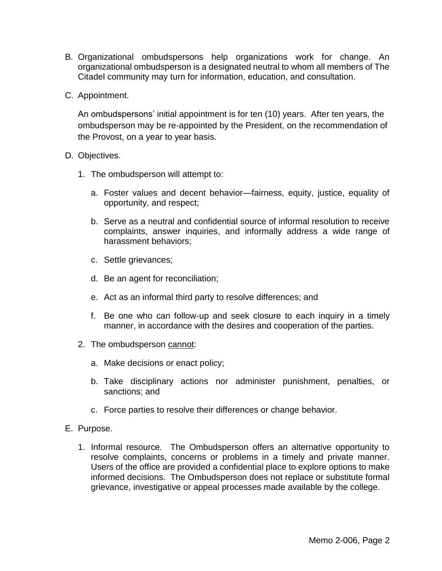- B. Organizational ombudspersons help organizations work for change. An organizational ombudsperson is a designated neutral to whom all members of The Citadel community may turn for information, education, and consultation.
- C. Appointment.

An ombudspersons' initial appointment is for ten (10) years. After ten years, the ombudsperson may be re-appointed by the President, on the recommendation of the Provost, on a year to year basis.

- D. Objectives.
	- 1. The ombudsperson will attempt to:
		- a. Foster values and decent behavior—fairness, equity, justice, equality of opportunity, and respect;
		- b. Serve as a neutral and confidential source of informal resolution to receive complaints, answer inquiries, and informally address a wide range of harassment behaviors;
		- c. Settle grievances;
		- d. Be an agent for reconciliation;
		- e. Act as an informal third party to resolve differences; and
		- f. Be one who can follow-up and seek closure to each inquiry in a timely manner, in accordance with the desires and cooperation of the parties.
	- 2. The ombudsperson cannot:
		- a. Make decisions or enact policy;
		- b. Take disciplinary actions nor administer punishment, penalties, or sanctions; and
		- c. Force parties to resolve their differences or change behavior.
- E. Purpose.
	- 1. Informal resource. The Ombudsperson offers an alternative opportunity to resolve complaints, concerns or problems in a timely and private manner. Users of the office are provided a confidential place to explore options to make informed decisions. The Ombudsperson does not replace or substitute formal grievance, investigative or appeal processes made available by the college.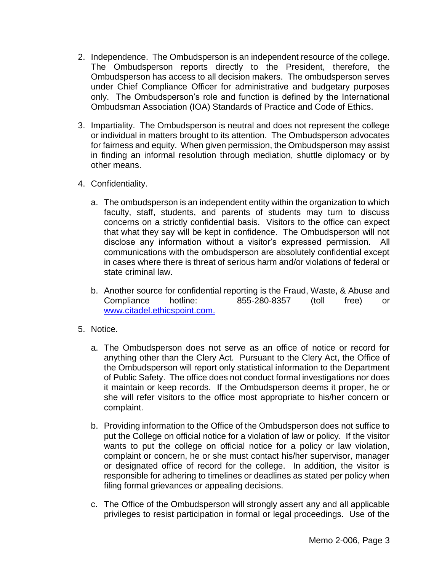- 2. Independence. The Ombudsperson is an independent resource of the college. The Ombudsperson reports directly to the President, therefore, the Ombudsperson has access to all decision makers. The ombudsperson serves under Chief Compliance Officer for administrative and budgetary purposes only. The Ombudsperson's role and function is defined by the International Ombudsman Association (IOA) Standards of Practice and Code of Ethics.
- 3. Impartiality. The Ombudsperson is neutral and does not represent the college or individual in matters brought to its attention. The Ombudsperson advocates for fairness and equity. When given permission, the Ombudsperson may assist in finding an informal resolution through mediation, shuttle diplomacy or by other means.
- 4. Confidentiality.
	- a. The ombudsperson is an independent entity within the organization to which faculty, staff, students, and parents of students may turn to discuss concerns on a strictly confidential basis. Visitors to the office can expect that what they say will be kept in confidence. The Ombudsperson will not disclose any information without a visitor's expressed permission. All communications with the ombudsperson are absolutely confidential except in cases where there is threat of serious harm and/or violations of federal or state criminal law.
	- b. Another source for confidential reporting is the Fraud, Waste, & Abuse and Compliance hotline: 855-280-8357 (toll free) or [www.citadel.ethicspoint.com.](http://www.citadel.ethicspoint.com/)
- 5. Notice.
	- a. The Ombudsperson does not serve as an office of notice or record for anything other than the Clery Act. Pursuant to the Clery Act, the Office of the Ombudsperson will report only statistical information to the Department of Public Safety. The office does not conduct formal investigations nor does it maintain or keep records. If the Ombudsperson deems it proper, he or she will refer visitors to the office most appropriate to his/her concern or complaint.
	- b. Providing information to the Office of the Ombudsperson does not suffice to put the College on official notice for a violation of law or policy. If the visitor wants to put the college on official notice for a policy or law violation, complaint or concern, he or she must contact his/her supervisor, manager or designated office of record for the college. In addition, the visitor is responsible for adhering to timelines or deadlines as stated per policy when filing formal grievances or appealing decisions.
	- c. The Office of the Ombudsperson will strongly assert any and all applicable privileges to resist participation in formal or legal proceedings. Use of the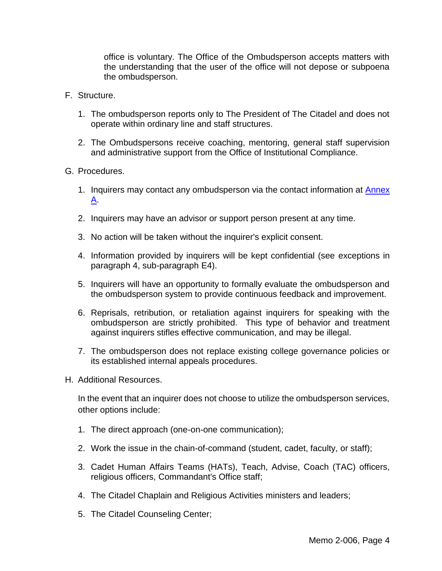office is voluntary. The Office of the Ombudsperson accepts matters with the understanding that the user of the office will not depose or subpoena the ombudsperson.

- F. Structure.
	- 1. The ombudsperson reports only to The President of The Citadel and does not operate within ordinary line and staff structures.
	- 2. The Ombudspersons receive coaching, mentoring, general staff supervision and administrative support from the Office of Institutional Compliance.
- G. Procedures.
	- 1. Inquirers may contact any ombudsperson via the contact information at **Annex** [A.](#page-6-0)
	- 2. Inquirers may have an advisor or support person present at any time.
	- 3. No action will be taken without the inquirer's explicit consent.
	- 4. Information provided by inquirers will be kept confidential (see exceptions in paragraph 4, sub-paragraph E4).
	- 5. Inquirers will have an opportunity to formally evaluate the ombudsperson and the ombudsperson system to provide continuous feedback and improvement.
	- 6. Reprisals, retribution, or retaliation against inquirers for speaking with the ombudsperson are strictly prohibited. This type of behavior and treatment against inquirers stifles effective communication, and may be illegal.
	- 7. The ombudsperson does not replace existing college governance policies or its established internal appeals procedures.
- H. Additional Resources.

In the event that an inquirer does not choose to utilize the ombudsperson services, other options include:

- 1. The direct approach (one-on-one communication);
- 2. Work the issue in the chain-of-command (student, cadet, faculty, or staff);
- 3. Cadet Human Affairs Teams (HATs), Teach, Advise, Coach (TAC) officers, religious officers, Commandant's Office staff;
- 4. The Citadel Chaplain and Religious Activities ministers and leaders;
- 5. The Citadel Counseling Center;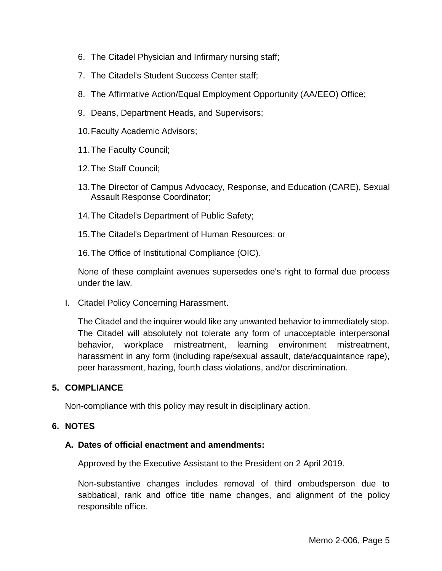- 6. The Citadel Physician and Infirmary nursing staff;
- 7. The Citadel's Student Success Center staff;
- 8. The Affirmative Action/Equal Employment Opportunity (AA/EEO) Office;
- 9. Deans, Department Heads, and Supervisors;
- 10.Faculty Academic Advisors;
- 11.The Faculty Council;
- 12.The Staff Council;
- 13.The Director of Campus Advocacy, Response, and Education (CARE), Sexual Assault Response Coordinator;
- 14.The Citadel's Department of Public Safety;
- 15.The Citadel's Department of Human Resources; or
- 16.The Office of Institutional Compliance (OIC).

None of these complaint avenues supersedes one's right to formal due process under the law.

I. Citadel Policy Concerning Harassment.

The Citadel and the inquirer would like any unwanted behavior to immediately stop. The Citadel will absolutely not tolerate any form of unacceptable interpersonal behavior, workplace mistreatment, learning environment mistreatment, harassment in any form (including rape/sexual assault, date/acquaintance rape), peer harassment, hazing, fourth class violations, and/or discrimination.

### **5. COMPLIANCE**

Non-compliance with this policy may result in disciplinary action.

### **6. NOTES**

### **A. Dates of official enactment and amendments:**

Approved by the Executive Assistant to the President on 2 April 2019.

Non-substantive changes includes removal of third ombudsperson due to sabbatical, rank and office title name changes, and alignment of the policy responsible office.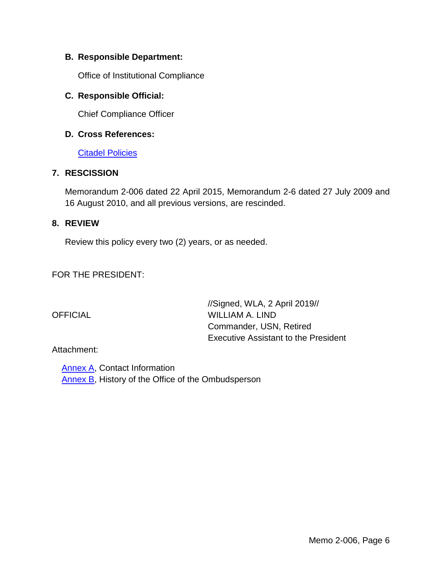### **B. Responsible Department:**

Office of Institutional Compliance

### **C. Responsible Official:**

Chief Compliance Officer

### **D. Cross References:**

**[Citadel Policies](http://www.citadel.edu/root/policies/college-policies)** 

### **7. RESCISSION**

Memorandum 2-006 dated 22 April 2015, Memorandum 2-6 dated 27 July 2009 and 16 August 2010, and all previous versions, are rescinded.

### **8. REVIEW**

Review this policy every two (2) years, or as needed.

FOR THE PRESIDENT:

//Signed, WLA, 2 April 2019// OFFICIAL WILLIAM A. LIND Commander, USN, Retired Executive Assistant to the President

### Attachment:

 [Annex A,](#page-6-0) Contact Information [Annex B,](#page-7-0) History of the Office of the Ombudsperson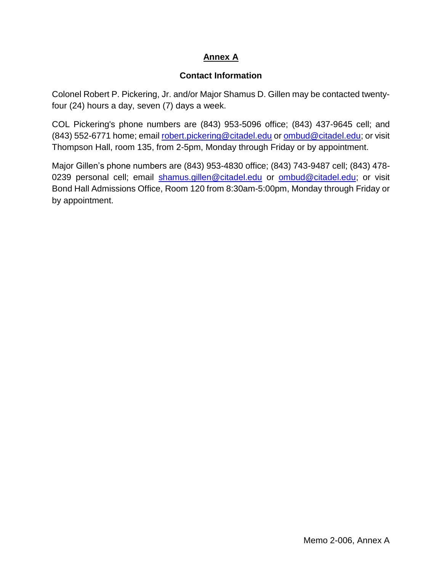# **Annex A**

# **Contact Information**

<span id="page-6-0"></span>Colonel Robert P. Pickering, Jr. and/or Major Shamus D. Gillen may be contacted twentyfour (24) hours a day, seven (7) days a week.

COL Pickering's phone numbers are (843) 953-5096 office; (843) 437-9645 cell; and (843) 552-6771 home; email [robert.pickering@citadel.edu](mailto:robert.pickering@citadel.edu) or [ombud@citadel.edu;](mailto:ombud@citadel.edu) or visit Thompson Hall, room 135, from 2-5pm, Monday through Friday or by appointment.

Major Gillen's phone numbers are (843) 953-4830 office; (843) 743-9487 cell; (843) 478 0239 personal cell; email [shamus.gillen@citadel.edu](mailto:shamus.gillen@citadel.edu) or [ombud@citadel.edu;](mailto:ombud@citadel.edu) or visit Bond Hall Admissions Office, Room 120 from 8:30am-5:00pm, Monday through Friday or by appointment.